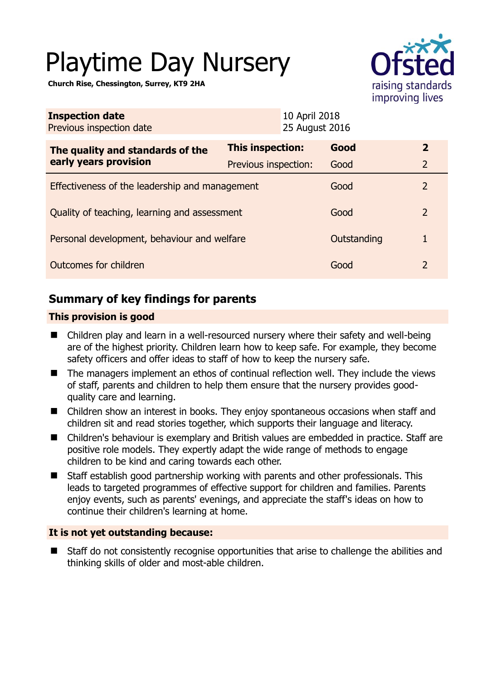# Playtime Day Nursery

**Church Rise, Chessington, Surrey, KT9 2HA** 



| <b>Inspection date</b><br>Previous inspection date |                      | 10 April 2018<br>25 August 2016 |             |                |
|----------------------------------------------------|----------------------|---------------------------------|-------------|----------------|
| The quality and standards of the                   | This inspection:     | Good                            |             | $\overline{2}$ |
| early years provision                              | Previous inspection: | Good                            |             | $\overline{2}$ |
| Effectiveness of the leadership and management     |                      |                                 | Good        | 2              |
| Quality of teaching, learning and assessment       |                      |                                 | Good        | 2              |
| Personal development, behaviour and welfare        |                      |                                 | Outstanding | 1              |
| Outcomes for children                              |                      |                                 | Good        | $\mathcal{L}$  |

# **Summary of key findings for parents**

#### **This provision is good**

- Children play and learn in a well-resourced nursery where their safety and well-being are of the highest priority. Children learn how to keep safe. For example, they become safety officers and offer ideas to staff of how to keep the nursery safe.
- The managers implement an ethos of continual reflection well. They include the views of staff, parents and children to help them ensure that the nursery provides goodquality care and learning.
- Children show an interest in books. They enjoy spontaneous occasions when staff and children sit and read stories together, which supports their language and literacy.
- Children's behaviour is exemplary and British values are embedded in practice. Staff are positive role models. They expertly adapt the wide range of methods to engage children to be kind and caring towards each other.
- Staff establish good partnership working with parents and other professionals. This leads to targeted programmes of effective support for children and families. Parents enjoy events, such as parents' evenings, and appreciate the staff's ideas on how to continue their children's learning at home.

#### **It is not yet outstanding because:**

 Staff do not consistently recognise opportunities that arise to challenge the abilities and thinking skills of older and most-able children.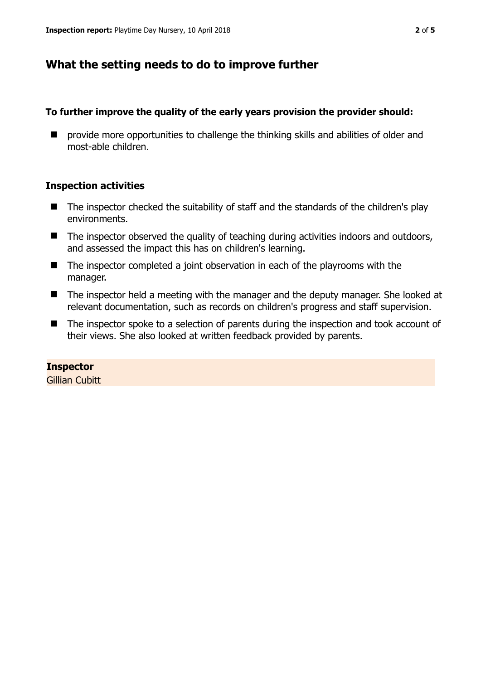### **What the setting needs to do to improve further**

#### **To further improve the quality of the early years provision the provider should:**

 $\blacksquare$  provide more opportunities to challenge the thinking skills and abilities of older and most-able children.

#### **Inspection activities**

- $\blacksquare$  The inspector checked the suitability of staff and the standards of the children's play environments.
- The inspector observed the quality of teaching during activities indoors and outdoors, and assessed the impact this has on children's learning.
- The inspector completed a joint observation in each of the playrooms with the manager.
- The inspector held a meeting with the manager and the deputy manager. She looked at relevant documentation, such as records on children's progress and staff supervision.
- The inspector spoke to a selection of parents during the inspection and took account of their views. She also looked at written feedback provided by parents.

#### **Inspector**

**Gillian Cubitt**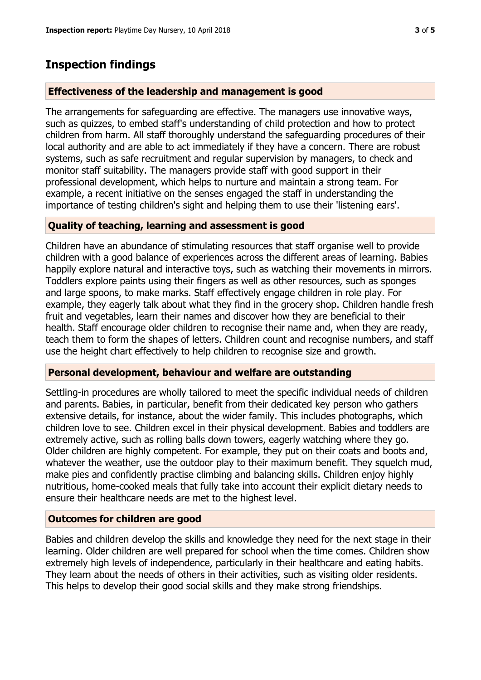## **Inspection findings**

#### **Effectiveness of the leadership and management is good**

The arrangements for safeguarding are effective. The managers use innovative ways, such as quizzes, to embed staff's understanding of child protection and how to protect children from harm. All staff thoroughly understand the safeguarding procedures of their local authority and are able to act immediately if they have a concern. There are robust systems, such as safe recruitment and regular supervision by managers, to check and monitor staff suitability. The managers provide staff with good support in their professional development, which helps to nurture and maintain a strong team. For example, a recent initiative on the senses engaged the staff in understanding the importance of testing children's sight and helping them to use their 'listening ears'.

#### **Quality of teaching, learning and assessment is good**

Children have an abundance of stimulating resources that staff organise well to provide children with a good balance of experiences across the different areas of learning. Babies happily explore natural and interactive toys, such as watching their movements in mirrors. Toddlers explore paints using their fingers as well as other resources, such as sponges and large spoons, to make marks. Staff effectively engage children in role play. For example, they eagerly talk about what they find in the grocery shop. Children handle fresh fruit and vegetables, learn their names and discover how they are beneficial to their health. Staff encourage older children to recognise their name and, when they are ready, teach them to form the shapes of letters. Children count and recognise numbers, and staff use the height chart effectively to help children to recognise size and growth.

#### **Personal development, behaviour and welfare are outstanding**

Settling-in procedures are wholly tailored to meet the specific individual needs of children and parents. Babies, in particular, benefit from their dedicated key person who gathers extensive details, for instance, about the wider family. This includes photographs, which children love to see. Children excel in their physical development. Babies and toddlers are extremely active, such as rolling balls down towers, eagerly watching where they go. Older children are highly competent. For example, they put on their coats and boots and, whatever the weather, use the outdoor play to their maximum benefit. They squelch mud, make pies and confidently practise climbing and balancing skills. Children enjoy highly nutritious, home-cooked meals that fully take into account their explicit dietary needs to ensure their healthcare needs are met to the highest level.

#### **Outcomes for children are good**

Babies and children develop the skills and knowledge they need for the next stage in their learning. Older children are well prepared for school when the time comes. Children show extremely high levels of independence, particularly in their healthcare and eating habits. They learn about the needs of others in their activities, such as visiting older residents. This helps to develop their good social skills and they make strong friendships.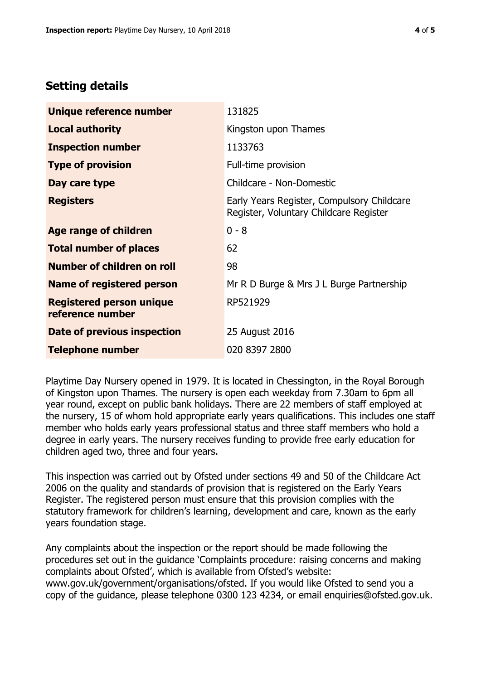## **Setting details**

| Unique reference number                             | 131825                                                                               |  |
|-----------------------------------------------------|--------------------------------------------------------------------------------------|--|
| <b>Local authority</b>                              | Kingston upon Thames                                                                 |  |
| <b>Inspection number</b>                            | 1133763                                                                              |  |
| <b>Type of provision</b>                            | Full-time provision                                                                  |  |
| Day care type                                       | Childcare - Non-Domestic                                                             |  |
| <b>Registers</b>                                    | Early Years Register, Compulsory Childcare<br>Register, Voluntary Childcare Register |  |
| Age range of children                               | $0 - 8$                                                                              |  |
| <b>Total number of places</b>                       | 62                                                                                   |  |
| Number of children on roll                          | 98                                                                                   |  |
| Name of registered person                           | Mr R D Burge & Mrs J L Burge Partnership                                             |  |
| <b>Registered person unique</b><br>reference number | RP521929                                                                             |  |
| Date of previous inspection                         | 25 August 2016                                                                       |  |
| <b>Telephone number</b>                             | 020 8397 2800                                                                        |  |

Playtime Day Nursery opened in 1979. It is located in Chessington, in the Royal Borough of Kingston upon Thames. The nursery is open each weekday from 7.30am to 6pm all year round, except on public bank holidays. There are 22 members of staff employed at the nursery, 15 of whom hold appropriate early years qualifications. This includes one staff member who holds early years professional status and three staff members who hold a degree in early years. The nursery receives funding to provide free early education for children aged two, three and four years.

This inspection was carried out by Ofsted under sections 49 and 50 of the Childcare Act 2006 on the quality and standards of provision that is registered on the Early Years Register. The registered person must ensure that this provision complies with the statutory framework for children's learning, development and care, known as the early years foundation stage.

Any complaints about the inspection or the report should be made following the procedures set out in the guidance 'Complaints procedure: raising concerns and making complaints about Ofsted', which is available from Ofsted's website: www.gov.uk/government/organisations/ofsted. If you would like Ofsted to send you a copy of the guidance, please telephone 0300 123 4234, or email enquiries@ofsted.gov.uk.